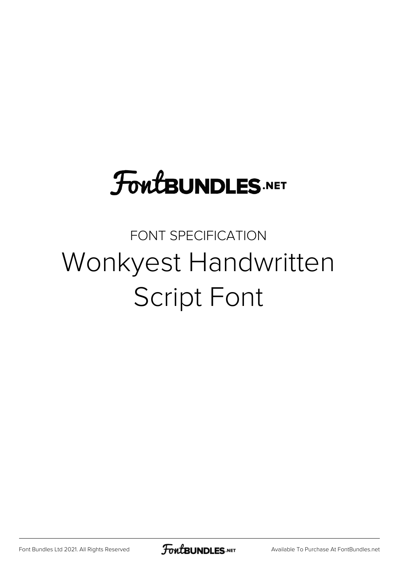## **FoutBUNDLES.NET**

## FONT SPECIFICATION Wonkyest Handwritten Script Font

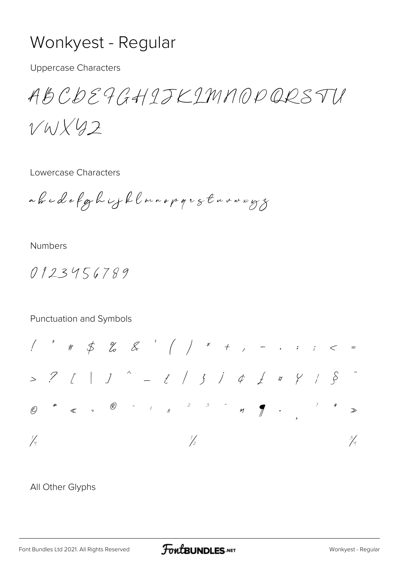## Wonkyest - Regular

**Uppercase Characters** 

ABCDE9GHIJKIMNOPQRSTU

 $VWX42$ 

Lowercase Characters

abcdefghijklmnopgretnumegs

**Numbers** 

 $0123456789$ 

## Punctuation and Symbols



All Other Glyphs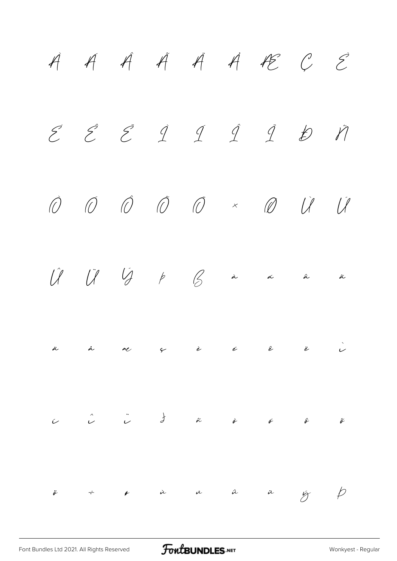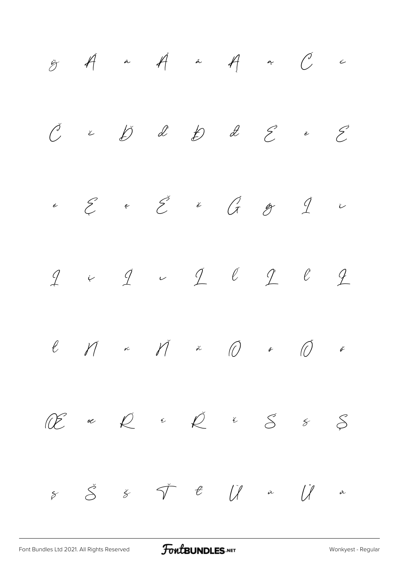